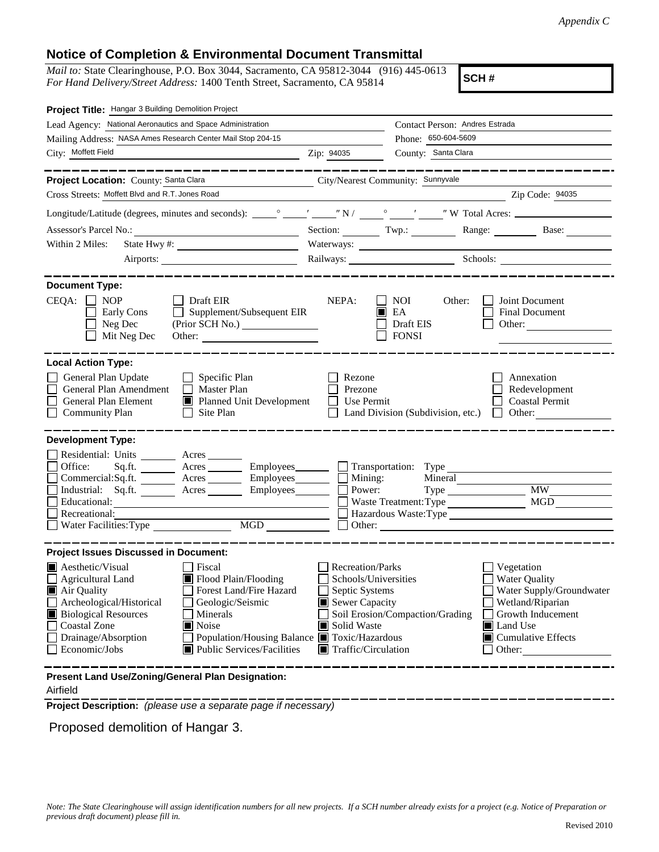## **Notice of Completion & Environmental Document Transmittal**

*Mail to:* State Clearinghouse, P.O. Box 3044, Sacramento, CA 95812-3044 (916) 445-0613 *For Hand Delivery/Street Address:* 1400 Tenth Street, Sacramento, CA 95814

**SCH #**

| Project Title: Hangar 3 Building Demolition Project                                                                                                                                                                                                                                                                                                                                                  |                                                                                                                                                         |                                                                                  |                                                                                                                                                            |  |
|------------------------------------------------------------------------------------------------------------------------------------------------------------------------------------------------------------------------------------------------------------------------------------------------------------------------------------------------------------------------------------------------------|---------------------------------------------------------------------------------------------------------------------------------------------------------|----------------------------------------------------------------------------------|------------------------------------------------------------------------------------------------------------------------------------------------------------|--|
| Lead Agency: National Aeronautics and Space Administration                                                                                                                                                                                                                                                                                                                                           |                                                                                                                                                         | Contact Person: Andres Estrada                                                   |                                                                                                                                                            |  |
| Mailing Address: NASA Ames Research Center Mail Stop 204-15                                                                                                                                                                                                                                                                                                                                          | Phone: 650-604-5609                                                                                                                                     |                                                                                  |                                                                                                                                                            |  |
| City: Moffett Field                                                                                                                                                                                                                                                                                                                                                                                  | Zip: 94035                                                                                                                                              | County: Santa Clara                                                              |                                                                                                                                                            |  |
|                                                                                                                                                                                                                                                                                                                                                                                                      |                                                                                                                                                         |                                                                                  |                                                                                                                                                            |  |
| Project Location: County: Santa Clara                                                                                                                                                                                                                                                                                                                                                                |                                                                                                                                                         | City/Nearest Community: Sunnyvale                                                |                                                                                                                                                            |  |
| Cross Streets: Moffett Blvd and R.T. Jones Road                                                                                                                                                                                                                                                                                                                                                      |                                                                                                                                                         |                                                                                  | Zip Code: 94035                                                                                                                                            |  |
|                                                                                                                                                                                                                                                                                                                                                                                                      |                                                                                                                                                         |                                                                                  |                                                                                                                                                            |  |
| Assessor's Parcel No.:<br><u> 1989 - Johann Barbara, martxa alemaniar populari (</u>                                                                                                                                                                                                                                                                                                                 |                                                                                                                                                         |                                                                                  | Section: Twp.: Range: Base:                                                                                                                                |  |
| Within 2 Miles:<br>State Hwy #:                                                                                                                                                                                                                                                                                                                                                                      |                                                                                                                                                         | Waterways:                                                                       |                                                                                                                                                            |  |
| Airports:                                                                                                                                                                                                                                                                                                                                                                                            |                                                                                                                                                         |                                                                                  | Railways: Schools:                                                                                                                                         |  |
| <b>Document Type:</b><br>CEQA:<br><b>NOP</b><br>Draft EIR<br>Supplement/Subsequent EIR<br>Early Cons<br>Neg Dec<br>(Prior SCH No.)<br>Mit Neg Dec<br>Other:                                                                                                                                                                                                                                          | NEPA:                                                                                                                                                   | <b>NOI</b><br>Other:<br>EA<br>Draft EIS<br><b>FONSI</b>                          | Joint Document<br>Final Document<br>Other:                                                                                                                 |  |
| <b>Local Action Type:</b><br>General Plan Update<br>Specific Plan<br>General Plan Amendment<br>Master Plan<br>General Plan Element<br>Planned Unit Development<br><b>Community Plan</b><br>Site Plan<br>$\perp$                                                                                                                                                                                      | Rezone<br>Prezone<br><b>Use Permit</b>                                                                                                                  | Land Division (Subdivision, etc.)                                                | Annexation<br>Redevelopment<br><b>Coastal Permit</b><br>Other:                                                                                             |  |
| <b>Development Type:</b>                                                                                                                                                                                                                                                                                                                                                                             |                                                                                                                                                         |                                                                                  |                                                                                                                                                            |  |
| Residential: Units ________ Acres _______<br>Office:<br>Sq.fit.<br>Acres __________ Employees_________<br>Commercial:Sq.ft. ________ Acres _______<br>Employees________<br>Industrial: Sq.ft.<br>A <sub>cres</sub><br>Employees________<br>Educational:<br>Recreational:<br>MGD<br>Water Facilities: Type                                                                                            | $\blacksquare$ Mining:<br>Power:                                                                                                                        | Transportation: Type<br>Mineral<br>Waste Treatment: Type<br>Hazardous Waste:Type | <b>MW</b><br>MGD                                                                                                                                           |  |
| <b>Project Issues Discussed in Document:</b>                                                                                                                                                                                                                                                                                                                                                         |                                                                                                                                                         |                                                                                  |                                                                                                                                                            |  |
| $\blacksquare$ Aesthetic/Visual<br>  Fiscal<br>Flood Plain/Flooding<br>Agricultural Land<br>Forest Land/Fire Hazard<br>Air Quality<br>Archeological/Historical<br>Geologic/Seismic<br><b>Biological Resources</b><br>Minerals<br><b>Coastal Zone</b><br>$\blacksquare$ Noise<br>Drainage/Absorption<br>Population/Housing Balance ■ Toxic/Hazardous<br>Economic/Jobs<br>■ Public Services/Facilities | <b>Recreation/Parks</b><br>Schools/Universities<br>Septic Systems<br>$\blacksquare$ Sewer Capacity<br>Solid Waste<br>$\blacksquare$ Traffic/Circulation | Soil Erosion/Compaction/Grading                                                  | Vegetation<br><b>Water Quality</b><br>Water Supply/Groundwater<br>Wetland/Riparian<br>Growth Inducement<br>Land Use<br>$\Box$ Cumulative Effects<br>Other: |  |
| Present Land Use/Zoning/General Plan Designation:                                                                                                                                                                                                                                                                                                                                                    |                                                                                                                                                         |                                                                                  |                                                                                                                                                            |  |

## Airfield

**Project Description:** *(please use a separate page if necessary)*

Proposed demolition of Hangar 3.